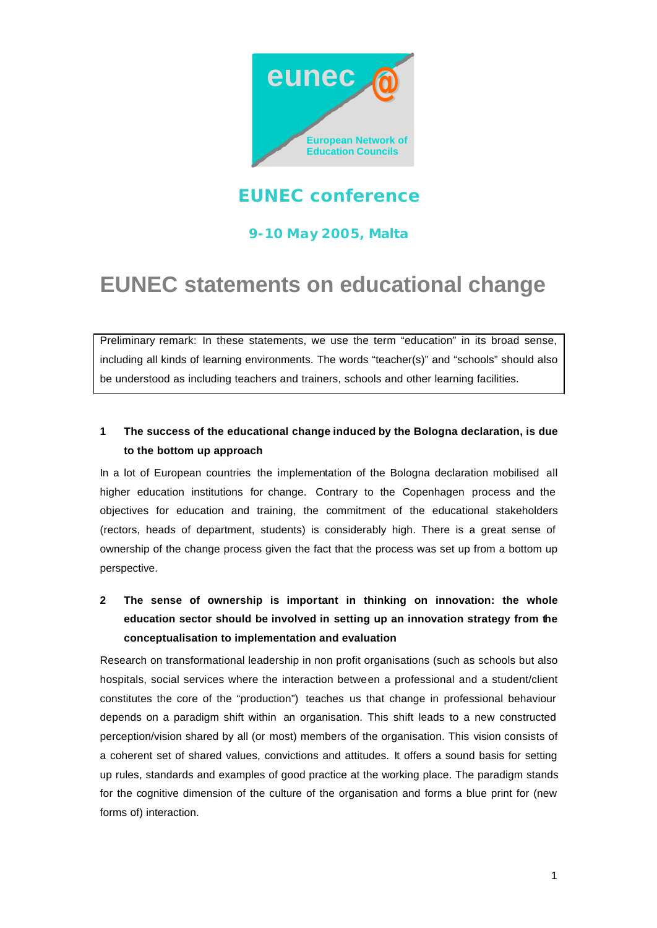

## **EUNEC conference**

## **9-10 May 2005, Malta**

# **EUNEC statements on educational change**

Preliminary remark: In these statements, we use the term "education" in its broad sense, including all kinds of learning environments. The words "teacher(s)" and "schools" should also be understood as including teachers and trainers, schools and other learning facilities.

## **1 The success of the educational change induced by the Bologna declaration, is due to the bottom up approach**

In a lot of European countries the implementation of the Bologna declaration mobilised all higher education institutions for change. Contrary to the Copenhagen process and the objectives for education and training, the commitment of the educational stakeholders (rectors, heads of department, students) is considerably high. There is a great sense of ownership of the change process given the fact that the process was set up from a bottom up perspective.

**2 The sense of ownership is important in thinking on innovation: the whole education sector should be involved in setting up an innovation strategy from the conceptualisation to implementation and evaluation**

Research on transformational leadership in non profit organisations (such as schools but also hospitals, social services where the interaction between a professional and a student/client constitutes the core of the "production") teaches us that change in professional behaviour depends on a paradigm shift within an organisation. This shift leads to a new constructed perception/vision shared by all (or most) members of the organisation. This vision consists of a coherent set of shared values, convictions and attitudes. It offers a sound basis for setting up rules, standards and examples of good practice at the working place. The paradigm stands for the cognitive dimension of the culture of the organisation and forms a blue print for (new forms of) interaction.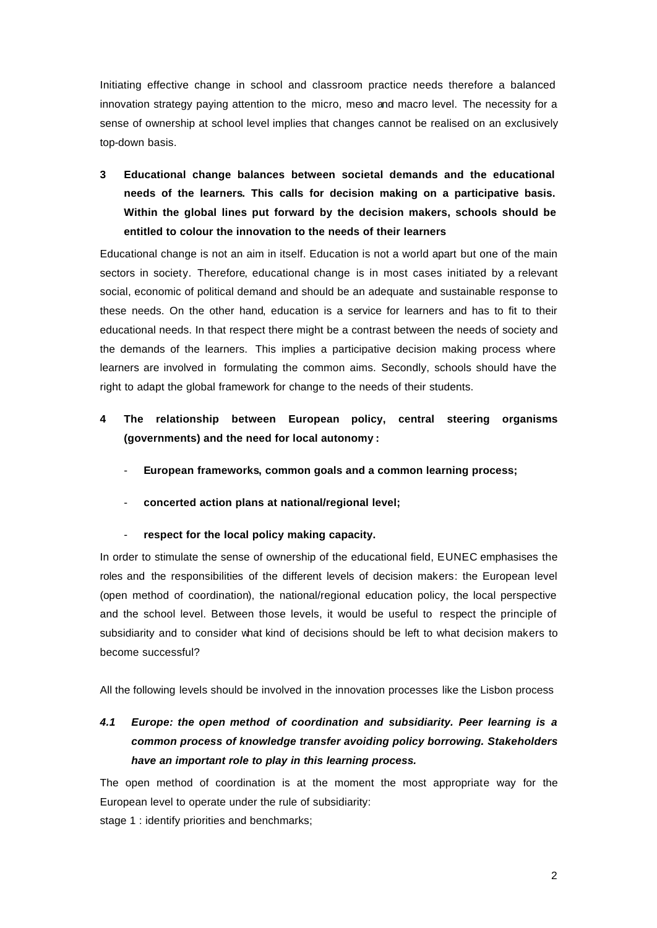Initiating effective change in school and classroom practice needs therefore a balanced innovation strategy paying attention to the micro, meso and macro level. The necessity for a sense of ownership at school level implies that changes cannot be realised on an exclusively top-down basis.

**3 Educational change balances between societal demands and the educational needs of the learners. This calls for decision making on a participative basis. Within the global lines put forward by the decision makers, schools should be entitled to colour the innovation to the needs of their learners**

Educational change is not an aim in itself. Education is not a world apart but one of the main sectors in society. Therefore, educational change is in most cases initiated by a relevant social, economic of political demand and should be an adequate and sustainable response to these needs. On the other hand, education is a service for learners and has to fit to their educational needs. In that respect there might be a contrast between the needs of society and the demands of the learners. This implies a participative decision making process where learners are involved in formulating the common aims. Secondly, schools should have the right to adapt the global framework for change to the needs of their students.

- **4 The relationship between European policy, central steering organisms (governments) and the need for local autonomy :** 
	- **European frameworks, common goals and a common learning process;**
	- **concerted action plans at national/regional level;**
	- respect for the local policy making capacity.

In order to stimulate the sense of ownership of the educational field, EUNEC emphasises the roles and the responsibilities of the different levels of decision makers: the European level (open method of coordination), the national/regional education policy, the local perspective and the school level. Between those levels, it would be useful to respect the principle of subsidiarity and to consider what kind of decisions should be left to what decision makers to become successful?

All the following levels should be involved in the innovation processes like the Lisbon process

## *4.1 Europe: the open method of coordination and subsidiarity. Peer learning is a common process of knowledge transfer avoiding policy borrowing. Stakeholders have an important role to play in this learning process.*

The open method of coordination is at the moment the most appropriate way for the European level to operate under the rule of subsidiarity:

stage 1 : identify priorities and benchmarks;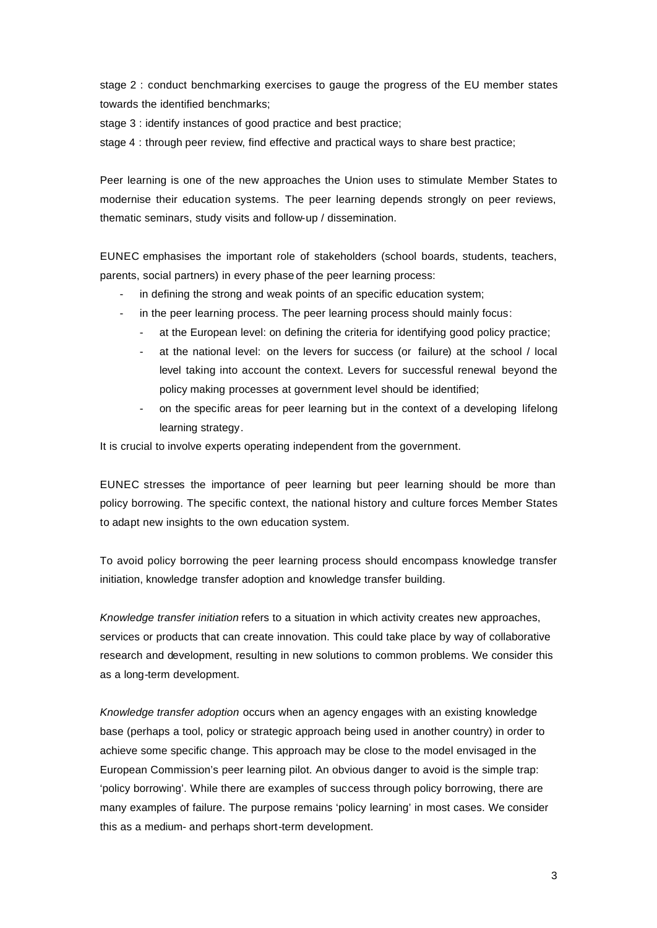stage 2 : conduct benchmarking exercises to gauge the progress of the EU member states towards the identified benchmarks;

stage 3 : identify instances of good practice and best practice;

stage 4 : through peer review, find effective and practical ways to share best practice;

Peer learning is one of the new approaches the Union uses to stimulate Member States to modernise their education systems. The peer learning depends strongly on peer reviews, thematic seminars, study visits and follow-up / dissemination.

EUNEC emphasises the important role of stakeholders (school boards, students, teachers, parents, social partners) in every phase of the peer learning process:

- in defining the strong and weak points of an specific education system;
- in the peer learning process. The peer learning process should mainly focus:
	- at the European level: on defining the criteria for identifying good policy practice;
	- at the national level: on the levers for success (or failure) at the school / local level taking into account the context. Levers for successful renewal beyond the policy making processes at government level should be identified;
	- on the specific areas for peer learning but in the context of a developing lifelong learning strategy.

It is crucial to involve experts operating independent from the government.

EUNEC stresses the importance of peer learning but peer learning should be more than policy borrowing. The specific context, the national history and culture forces Member States to adapt new insights to the own education system.

To avoid policy borrowing the peer learning process should encompass knowledge transfer initiation, knowledge transfer adoption and knowledge transfer building.

*Knowledge transfer initiation* refers to a situation in which activity creates new approaches, services or products that can create innovation. This could take place by way of collaborative research and development, resulting in new solutions to common problems. We consider this as a long-term development.

*Knowledge transfer adoption* occurs when an agency engages with an existing knowledge base (perhaps a tool, policy or strategic approach being used in another country) in order to achieve some specific change. This approach may be close to the model envisaged in the European Commission's peer learning pilot. An obvious danger to avoid is the simple trap: 'policy borrowing'. While there are examples of success through policy borrowing, there are many examples of failure. The purpose remains 'policy learning' in most cases. We consider this as a medium- and perhaps short-term development.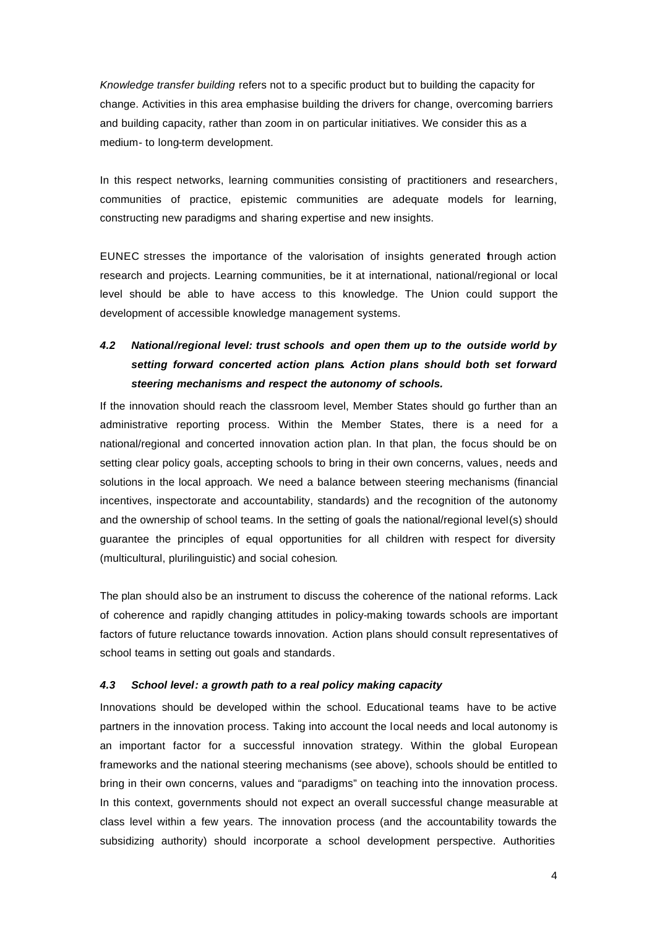*Knowledge transfer building* refers not to a specific product but to building the capacity for change. Activities in this area emphasise building the drivers for change, overcoming barriers and building capacity, rather than zoom in on particular initiatives. We consider this as a medium- to long-term development.

In this respect networks, learning communities consisting of practitioners and researchers, communities of practice, epistemic communities are adequate models for learning, constructing new paradigms and sharing expertise and new insights.

EUNEC stresses the importance of the valorisation of insights generated through action research and projects. Learning communities, be it at international, national/regional or local level should be able to have access to this knowledge. The Union could support the development of accessible knowledge management systems.

## *4.2 National/regional level: trust schools and open them up to the outside world by setting forward concerted action plans. Action plans should both set forward steering mechanisms and respect the autonomy of schools.*

If the innovation should reach the classroom level, Member States should go further than an administrative reporting process. Within the Member States, there is a need for a national/regional and concerted innovation action plan. In that plan, the focus should be on setting clear policy goals, accepting schools to bring in their own concerns, values, needs and solutions in the local approach. We need a balance between steering mechanisms (financial incentives, inspectorate and accountability, standards) and the recognition of the autonomy and the ownership of school teams. In the setting of goals the national/regional level(s) should guarantee the principles of equal opportunities for all children with respect for diversity (multicultural, plurilinguistic) and social cohesion.

The plan should also be an instrument to discuss the coherence of the national reforms. Lack of coherence and rapidly changing attitudes in policy-making towards schools are important factors of future reluctance towards innovation. Action plans should consult representatives of school teams in setting out goals and standards.

#### *4.3 School level: a growth path to a real policy making capacity*

Innovations should be developed within the school. Educational teams have to be active partners in the innovation process. Taking into account the local needs and local autonomy is an important factor for a successful innovation strategy. Within the global European frameworks and the national steering mechanisms (see above), schools should be entitled to bring in their own concerns, values and "paradigms" on teaching into the innovation process. In this context, governments should not expect an overall successful change measurable at class level within a few years. The innovation process (and the accountability towards the subsidizing authority) should incorporate a school development perspective. Authorities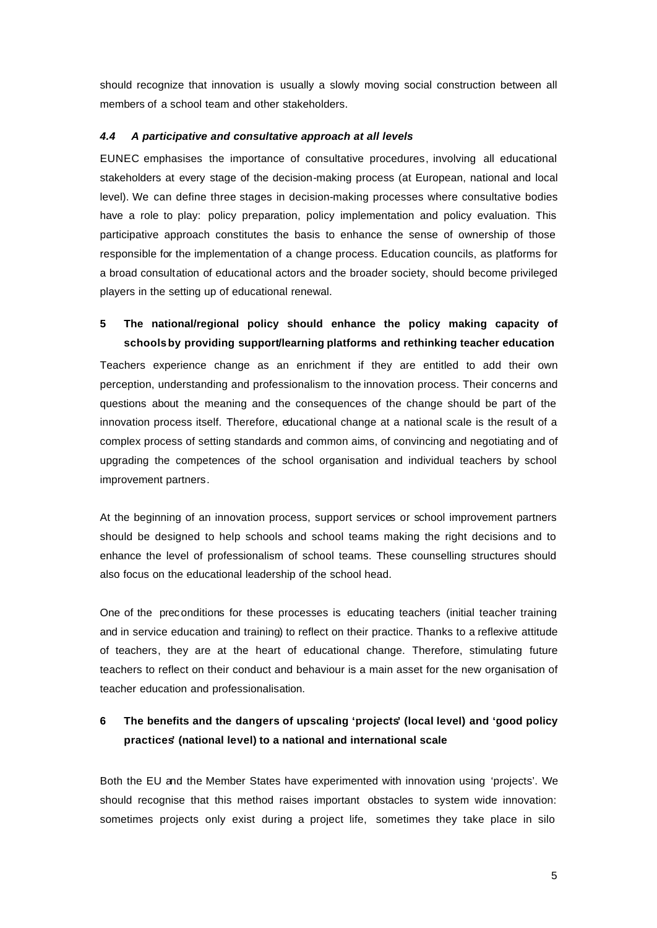should recognize that innovation is usually a slowly moving social construction between all members of a school team and other stakeholders.

#### *4.4 A participative and consultative approach at all levels*

EUNEC emphasises the importance of consultative procedures, involving all educational stakeholders at every stage of the decision-making process (at European, national and local level). We can define three stages in decision-making processes where consultative bodies have a role to play: policy preparation, policy implementation and policy evaluation. This participative approach constitutes the basis to enhance the sense of ownership of those responsible for the implementation of a change process. Education councils, as platforms for a broad consultation of educational actors and the broader society, should become privileged players in the setting up of educational renewal.

### **5 The national/regional policy should enhance the policy making capacity of schools by providing support/learning platforms and rethinking teacher education**

Teachers experience change as an enrichment if they are entitled to add their own perception, understanding and professionalism to the innovation process. Their concerns and questions about the meaning and the consequences of the change should be part of the innovation process itself. Therefore, educational change at a national scale is the result of a complex process of setting standards and common aims, of convincing and negotiating and of upgrading the competences of the school organisation and individual teachers by school improvement partners.

At the beginning of an innovation process, support services or school improvement partners should be designed to help schools and school teams making the right decisions and to enhance the level of professionalism of school teams. These counselling structures should also focus on the educational leadership of the school head.

One of the preconditions for these processes is educating teachers (initial teacher training and in service education and training) to reflect on their practice. Thanks to a reflexive attitude of teachers, they are at the heart of educational change. Therefore, stimulating future teachers to reflect on their conduct and behaviour is a main asset for the new organisation of teacher education and professionalisation.

## **6 The benefits and the dangers of upscaling 'projects' (local level) and 'good policy practices' (national level) to a national and international scale**

Both the EU and the Member States have experimented with innovation using 'projects'. We should recognise that this method raises important obstacles to system wide innovation: sometimes projects only exist during a project life, sometimes they take place in silo